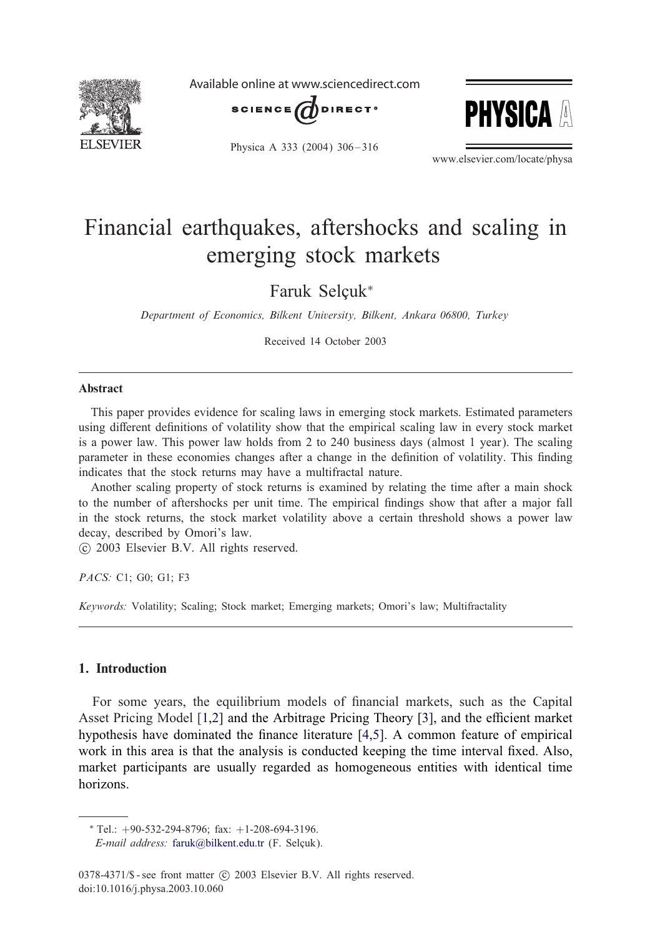

Available online at www.sciencedirect.com





Physica A 333 (2004) 306-316

www.elsevier.com/locate/physa

## Financial earthquakes, aftershocks and scaling in emerging stock markets

Faruk Selcuk<sup>\*</sup>

*Department of Economics, Bilkent University, Bilkent, Ankara 06800, Turkey*

Received 14 October 2003

## Abstract

This paper provides evidence for scaling laws in emerging stock markets. Estimated parameters using different definitions of volatility show that the empirical scaling law in every stock market is a power law. This power law holds from 2 to 240 business days (almost 1 year). The scaling parameter in these economies changes after a change in the definition of volatility. This finding indicates that the stock returns may have a multifractal nature.

Another scaling property of stock returns is examined by relating the time after a main shock to the number of aftershocks per unit time. The empirical findings show that after a major fall in the stock returns, the stock market volatility above a certain threshold shows a power law decay, described by Omori's law.

-c 2003 Elsevier B.V. All rights reserved.

*PACS:* C1; G0; G1; F3

*Keywords:* Volatility; Scaling; Stock market; Emerging markets; Omori's law; Multifractality

## 1. Introduction

For some years, the equilibrium models of financial markets, such as the Capital Asset Pricing Model  $[1,2]$  and the Arbitrage Pricing Theory  $[3]$ , and the efficient market hypothesis have dominated the finance literature  $[4,5]$ . A common feature of empirical work in this area is that the analysis is conducted keeping the time interval fixed. Also, market participants are usually regarded as homogeneous entities with identical time horizons.

 $*$  Tel.:  $+90-532-294-8796$ ; fax:  $+1-208-694-3196$ .

*E-mail address:* [faruk@bilkent.edu.tr](mailto:faruk@bilkent.edu.tr) (F. Selçuk).

<sup>0378-4371/\$ -</sup> see front matter (c) 2003 Elsevier B.V. All rights reserved. doi:10.1016/j.physa.2003.10.060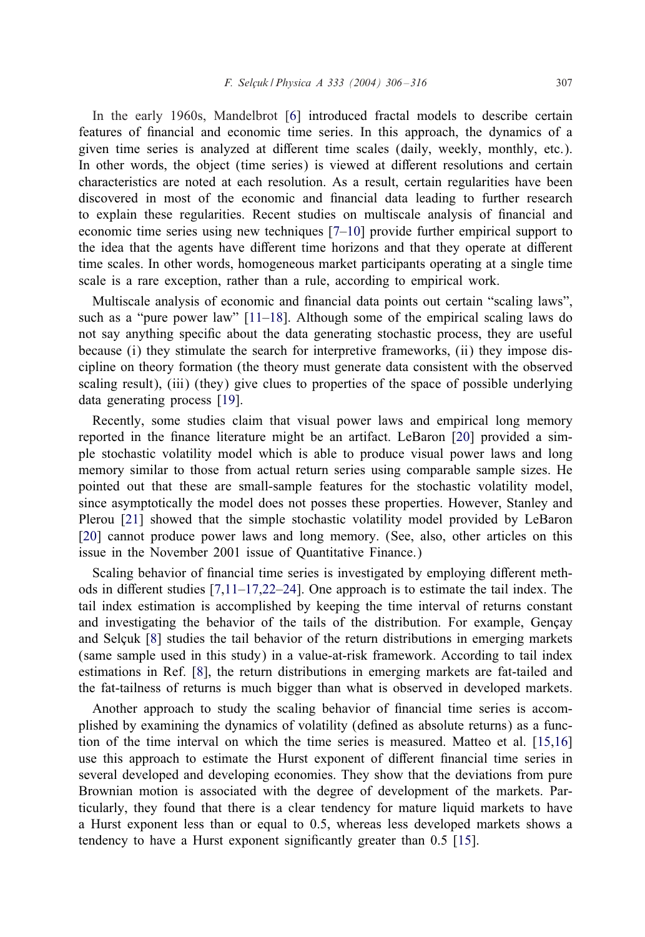In the early 1960s, Mandelbrot [\[6\]](#page--1-0) introduced fractal models to describe certain features of financial and economic time series. In this approach, the dynamics of a given time series is analyzed at different time scales (daily, weekly, monthly, etc.). In other words, the object (time series) is viewed at different resolutions and certain characteristics are noted at each resolution. As a result, certain regularities have been discovered in most of the economic and financial data leading to further research to explain these regularities. Recent studies on multiscale analysis of financial and economic time series using new techniques [\[7–10\]](#page--1-0) provide further empirical support to the idea that the agents have different time horizons and that they operate at different time scales. In other words, homogeneous market participants operating at a single time scale is a rare exception, rather than a rule, according to empirical work.

Multiscale analysis of economic and financial data points out certain "scaling laws", such as a "pure power law" [\[11–18\]](#page--1-0). Although some of the empirical scaling laws do not say anything specific about the data generating stochastic process, they are useful because (i) they stimulate the search for interpretive frameworks, (ii) they impose discipline on theory formation (the theory must generate data consistent with the observed scaling result), (iii) (they) give clues to properties of the space of possible underlying data generating process [\[19\]](#page--1-0).

Recently, some studies claim that visual power laws and empirical long memory reported in the finance literature might be an artifact. LeBaron [\[20\]](#page--1-0) provided a simple stochastic volatility model which is able to produce visual power laws and long memory similar to those from actual return series using comparable sample sizes. He pointed out that these are small-sample features for the stochastic volatility model, since asymptotically the model does not posses these properties. However, Stanley and Plerou [\[21\]](#page--1-0) showed that the simple stochastic volatility model provided by LeBaron [\[20\]](#page--1-0) cannot produce power laws and long memory. (See, also, other articles on this issue in the November 2001 issue of Quantitative Finance.)

Scaling behavior of financial time series is investigated by employing different methods in different studies  $[7,11-17,22-24]$ . One approach is to estimate the tail index. The tail index estimation is accomplished by keeping the time interval of returns constant and investigating the behavior of the tails of the distribution. For example, Geneav and Selçuk [\[8\]](#page--1-0) studies the tail behavior of the return distributions in emerging markets (same sample used in this study) in a value-at-risk framework. According to tail index estimations in Ref. [\[8\]](#page--1-0), the return distributions in emerging markets are fat-tailed and the fat-tailness of returns is much bigger than what is observed in developed markets.

Another approach to study the scaling behavior of financial time series is accomplished by examining the dynamics of volatility (defined as absolute returns) as a function of the time interval on which the time series is measured. Matteo et al. [\[15,16\]](#page--1-0) use this approach to estimate the Hurst exponent of different financial time series in several developed and developing economies. They show that the deviations from pure Brownian motion is associated with the degree of development of the markets. Particularly, they found that there is a clear tendency for mature liquid markets to have a Hurst exponent less than or equal to 0.5, whereas less developed markets shows a tendency to have a Hurst exponent significantly greater than  $0.5$  [\[15\]](#page--1-0).